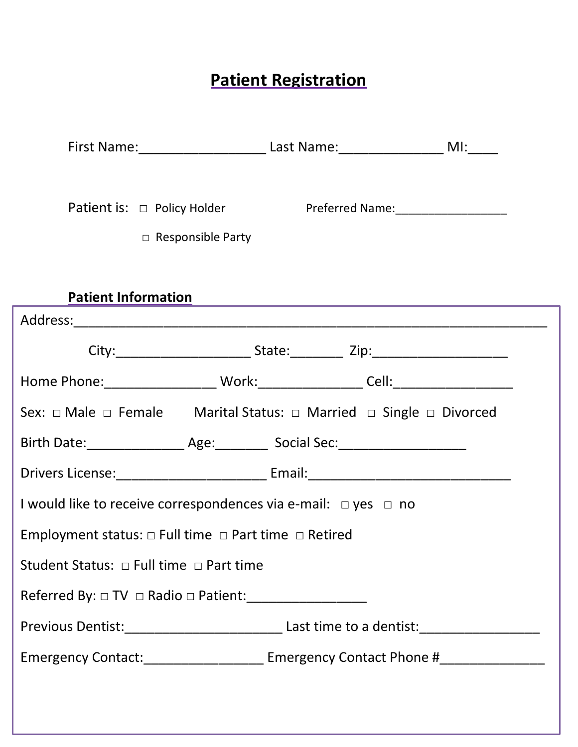# **Patient Registration**

|                                                                                         | First Name: _____________________________Last Name: ________________________MI:______       |  |  |
|-----------------------------------------------------------------------------------------|---------------------------------------------------------------------------------------------|--|--|
|                                                                                         | $\Box$ Responsible Party                                                                    |  |  |
| <b>Patient Information</b>                                                              |                                                                                             |  |  |
|                                                                                         |                                                                                             |  |  |
|                                                                                         |                                                                                             |  |  |
|                                                                                         |                                                                                             |  |  |
|                                                                                         | Sex: $\Box$ Male $\Box$ Female Marital Status: $\Box$ Married $\Box$ Single $\Box$ Divorced |  |  |
|                                                                                         | Birth Date: ____________________ Age: ___________ Social Sec: __________________            |  |  |
|                                                                                         |                                                                                             |  |  |
| I would like to receive correspondences via e-mail: $\Box$ yes $\Box$ no                |                                                                                             |  |  |
| Employment status: $\Box$ Full time $\Box$ Part time $\Box$ Retired                     |                                                                                             |  |  |
| Student Status: $\Box$ Full time $\Box$ Part time                                       |                                                                                             |  |  |
| Referred By: $\Box$ TV $\Box$ Radio $\Box$ Patient: ___________________________________ |                                                                                             |  |  |
|                                                                                         |                                                                                             |  |  |
|                                                                                         | Emergency Contact:_________________________ Emergency Contact Phone #____________           |  |  |
|                                                                                         |                                                                                             |  |  |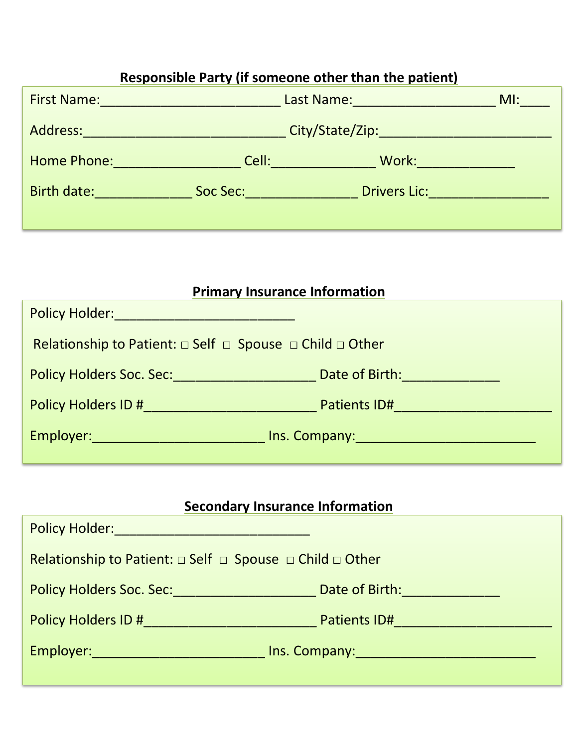| Responsible Party (if someone other than the patient) |                                                                                                                                                                                                                                     |                                                                                                                                                                                                                                                                                                                 |        |
|-------------------------------------------------------|-------------------------------------------------------------------------------------------------------------------------------------------------------------------------------------------------------------------------------------|-----------------------------------------------------------------------------------------------------------------------------------------------------------------------------------------------------------------------------------------------------------------------------------------------------------------|--------|
|                                                       | First Name: <u>_________________________</u>                                                                                                                                                                                        | Last Name: Manual Manual Manual Manual Manual Manual Manual Manual Manual Manual Manual Manual Manual Manual                                                                                                                                                                                                    | $M!$ : |
|                                                       | Address: Address:                                                                                                                                                                                                                   |                                                                                                                                                                                                                                                                                                                 |        |
|                                                       | <b>Home Phone:</b> Product the Contract of the Contract of the Contract of the Contract of the Contract of the Contract of the Contract of the Contract of the Contract of the Contract of the Contract of the Contract of the Cont | <b>Work:</b> Work: The Contract of the Contract of the Contract of the Contract of the Contract of the Contract of the Contract of the Contract of the Contract of the Contract of the Contract of the Contract of the Contract of<br><b>Cell: Cell</b> : <b>Cell</b> : <b>Cell</b> : <b>Cell</b> : <b>Cell</b> |        |
| Birth date: The Controller of the Controller          | Soc Sec:                                                                                                                                                                                                                            | Drivers Lic: <u>_________________</u>                                                                                                                                                                                                                                                                           |        |
|                                                       |                                                                                                                                                                                                                                     |                                                                                                                                                                                                                                                                                                                 |        |

| <b>Primary Insurance Information</b>                                                                            |                                          |  |
|-----------------------------------------------------------------------------------------------------------------|------------------------------------------|--|
| Policy Holder: <u>_____________________</u>                                                                     |                                          |  |
| <b>Relationship to Patient:</b> $\Box$ Self $\Box$ Spouse $\Box$ Child $\Box$ Other                             |                                          |  |
| Policy Holders Soc. Sec: 2008. 2009. 2010. 2010. 2012. 2014. 2016. 2017. 2018. 2019. 2017. 2018. 2019. 2017. 20 | Date of Birth: The Contract of Birth:    |  |
| <b>Policy Holders ID # Policy Holders ID # 2007</b>                                                             |                                          |  |
| Employer: 2008 - 2008 - 2010 - 2010 - 2010 - 2011 - 2012 - 2012 - 2014 - 2014 - 2014 - 2014 - 2014 - 2014 - 20  | Ins. Company: Management of the Company: |  |

## **Secondary Insurance Information**

| <b>Policy Holder: Policy Holder:</b>                                         |                                                |  |
|------------------------------------------------------------------------------|------------------------------------------------|--|
| Relationship to Patient: $\Box$ Self $\Box$ Spouse $\Box$ Child $\Box$ Other |                                                |  |
|                                                                              | <b>Date of Birth: Container and Containers</b> |  |
| <b>Policy Holders ID #</b> Policy Holders ID #                               | Patients ID#                                   |  |
| Employer:___________________________                                         | Ins. Company: Management of the Company:       |  |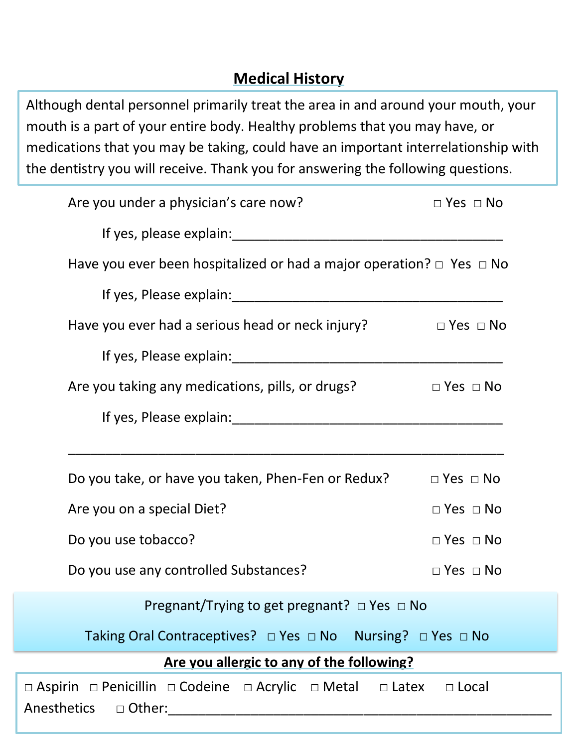### **Medical History**

Although dental personnel primarily treat the area in and around your mouth, your mouth is a part of your entire body. Healthy problems that you may have, or medications that you may be taking, could have an important interrelationship with the dentistry you will receive. Thank you for answering the following questions.

| Are you under a physician's care now?                                          | $\Box$ Yes $\Box$ No       |
|--------------------------------------------------------------------------------|----------------------------|
|                                                                                |                            |
| Have you ever been hospitalized or had a major operation? $\Box$ Yes $\Box$ No |                            |
|                                                                                |                            |
| Have you ever had a serious head or neck injury?                               | $\Box$ Yes $\Box$ No       |
|                                                                                |                            |
| Are you taking any medications, pills, or drugs?                               | $\square$ Yes $\square$ No |
|                                                                                |                            |
|                                                                                |                            |
| Do you take, or have you taken, Phen-Fen or Redux? $\Box$ Yes $\Box$ No        |                            |
| Are you on a special Diet?                                                     | $\Box$ Yes $\Box$ No       |
| Do you use tobacco?                                                            | $\Box$ Yes $\Box$ No       |
| Do you use any controlled Substances?                                          | $\Box$ Yes $\Box$ No       |
| Pregnant/Trying to get pregnant? $\Box$ Yes $\Box$ No                          |                            |
| Taking Oral Contraceptives? $\Box$ Yes $\Box$ No Nursing? $\Box$ Yes $\Box$ No |                            |
| Are you allergic to any of the following?                                      |                            |
| □ Aspirin □ Penicillin □ Codeine □ Acrylic □ Metal □ Latex □ Local             |                            |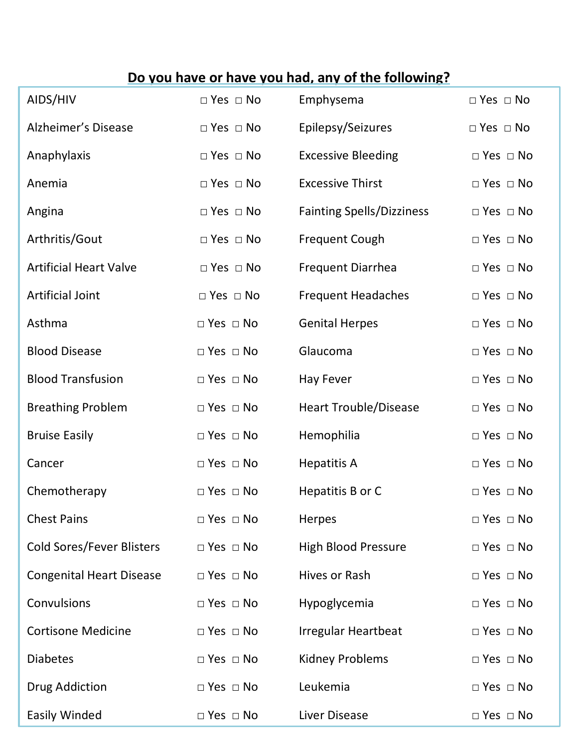# **Do you have or have you had, any of the following?**

| AIDS/HIV                         | $\Box$ Yes $\Box$ No | Emphysema                        | $\Box$ Yes $\Box$ No |
|----------------------------------|----------------------|----------------------------------|----------------------|
| Alzheimer's Disease              | $\Box$ Yes $\Box$ No | Epilepsy/Seizures                | $\Box$ Yes $\Box$ No |
| Anaphylaxis                      | $\Box$ Yes $\Box$ No | <b>Excessive Bleeding</b>        | $\Box$ Yes $\Box$ No |
| Anemia                           | $\Box$ Yes $\Box$ No | <b>Excessive Thirst</b>          | $\Box$ Yes $\Box$ No |
| Angina                           | $\Box$ Yes $\Box$ No | <b>Fainting Spells/Dizziness</b> | $\Box$ Yes $\Box$ No |
| Arthritis/Gout                   | $\Box$ Yes $\Box$ No | <b>Frequent Cough</b>            | $\Box$ Yes $\Box$ No |
| <b>Artificial Heart Valve</b>    | $\Box$ Yes $\Box$ No | <b>Frequent Diarrhea</b>         | $\Box$ Yes $\Box$ No |
| <b>Artificial Joint</b>          | $\Box$ Yes $\Box$ No | <b>Frequent Headaches</b>        | $\Box$ Yes $\Box$ No |
| Asthma                           | $\Box$ Yes $\Box$ No | <b>Genital Herpes</b>            | $\Box$ Yes $\Box$ No |
| <b>Blood Disease</b>             | $\Box$ Yes $\Box$ No | Glaucoma                         | $\Box$ Yes $\Box$ No |
| <b>Blood Transfusion</b>         | $\Box$ Yes $\Box$ No | <b>Hay Fever</b>                 | $\Box$ Yes $\Box$ No |
| <b>Breathing Problem</b>         | $\Box$ Yes $\Box$ No | <b>Heart Trouble/Disease</b>     | $\Box$ Yes $\Box$ No |
| <b>Bruise Easily</b>             | $\Box$ Yes $\Box$ No | Hemophilia                       | $\Box$ Yes $\Box$ No |
| Cancer                           | $\Box$ Yes $\Box$ No | <b>Hepatitis A</b>               | $\Box$ Yes $\Box$ No |
| Chemotherapy                     | $\Box$ Yes $\Box$ No | Hepatitis B or C                 | $\Box$ Yes $\Box$ No |
| <b>Chest Pains</b>               | $\Box$ Yes $\Box$ No | Herpes                           | $\Box$ Yes $\Box$ No |
| <b>Cold Sores/Fever Blisters</b> | $\Box$ Yes $\Box$ No | <b>High Blood Pressure</b>       | $\Box$ Yes $\Box$ No |
| <b>Congenital Heart Disease</b>  | $\Box$ Yes $\Box$ No | Hives or Rash                    | $\Box$ Yes $\Box$ No |
| Convulsions                      | $\Box$ Yes $\Box$ No | Hypoglycemia                     | $\Box$ Yes $\Box$ No |
| <b>Cortisone Medicine</b>        | $\Box$ Yes $\Box$ No | <b>Irregular Heartbeat</b>       | $\Box$ Yes $\Box$ No |
| <b>Diabetes</b>                  | $\Box$ Yes $\Box$ No | <b>Kidney Problems</b>           | $\Box$ Yes $\Box$ No |
| Drug Addiction                   | $\Box$ Yes $\Box$ No | Leukemia                         | $\Box$ Yes $\Box$ No |
| <b>Easily Winded</b>             | $\Box$ Yes $\Box$ No | Liver Disease                    | $\Box$ Yes $\Box$ No |